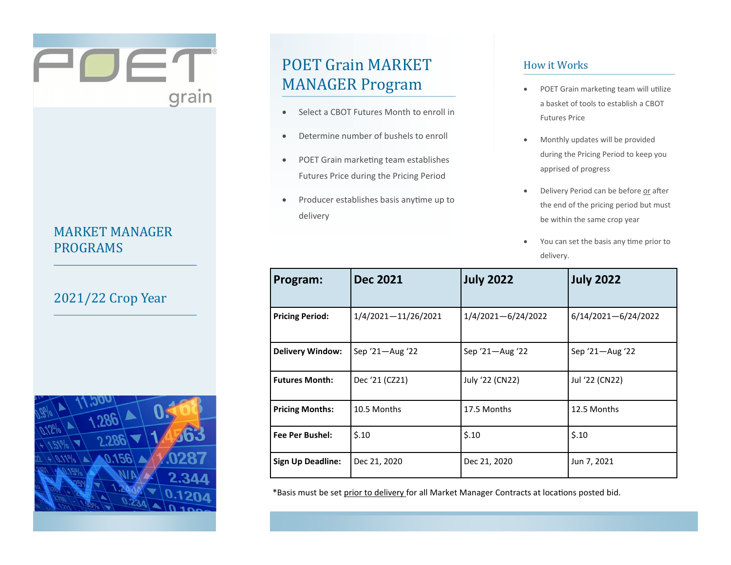## MARKET MANAGER PROGRAMS

POET

grain

## 2021/22 Crop Year



# POET Grain MARKET MANAGER Program

- Select a CBOT Futures Month to enroll in
- Determine number of bushels to enroll
- POET Grain marketing team establishes Futures Price during the Pricing Period
- Producer establishes basis anytime up to delivery

### How it Works

- POET Grain marketing team will utilize a basket of tools to establish a CBOT Futures Price
- Monthly updates will be provided during the Pricing Period to keep you apprised of progress
- Delivery Period can be before or after the end of the pricing period but must be within the same crop year
- You can set the basis any time prior to delivery.

| Program:                 | <b>Dec 2021</b>     | <b>July 2022</b>       | <b>July 2022</b>        |
|--------------------------|---------------------|------------------------|-------------------------|
| <b>Pricing Period:</b>   | 1/4/2021-11/26/2021 | $1/4/2021 - 6/24/2022$ | $6/14/2021 - 6/24/2022$ |
| <b>Delivery Window:</b>  | Sep $21 -$ Aug $22$ | Sep '21-Aug '22        | Sep '21—Aug '22         |
| <b>Futures Month:</b>    | Dec '21 (CZ21)      | July '22 (CN22)        | Jul '22 (CN22)          |
| <b>Pricing Months:</b>   | 10.5 Months         | 17.5 Months            | 12.5 Months             |
| <b>Fee Per Bushel:</b>   | \$.10               | \$.10                  | \$.10                   |
| <b>Sign Up Deadline:</b> | Dec 21, 2020        | Dec 21, 2020           | Jun 7, 2021             |

\*Basis must be set prior to delivery for all Market Manager Contracts at locations posted bid.